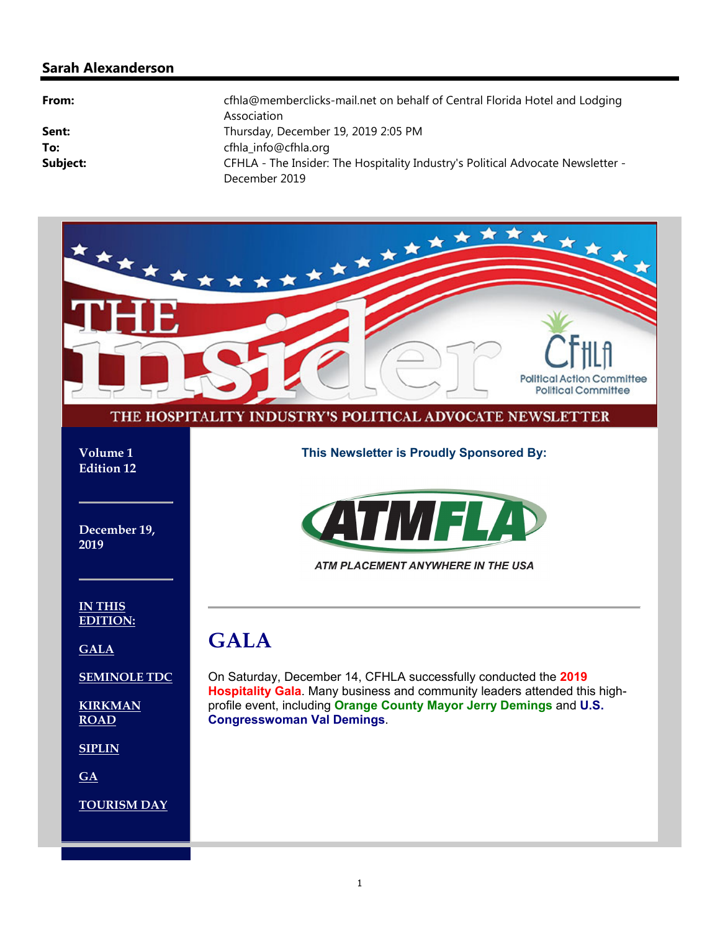### **Sarah Alexanderson**

| From:    | cfhla@memberclicks-mail.net on behalf of Central Florida Hotel and Lodging<br>Association |
|----------|-------------------------------------------------------------------------------------------|
| Sent:    | Thursday, December 19, 2019 2:05 PM                                                       |
| To:      | cfhla info@cfhla.org                                                                      |
| Subject: | CFHLA - The Insider: The Hospitality Industry's Political Advocate Newsletter -           |
|          | December 2019                                                                             |

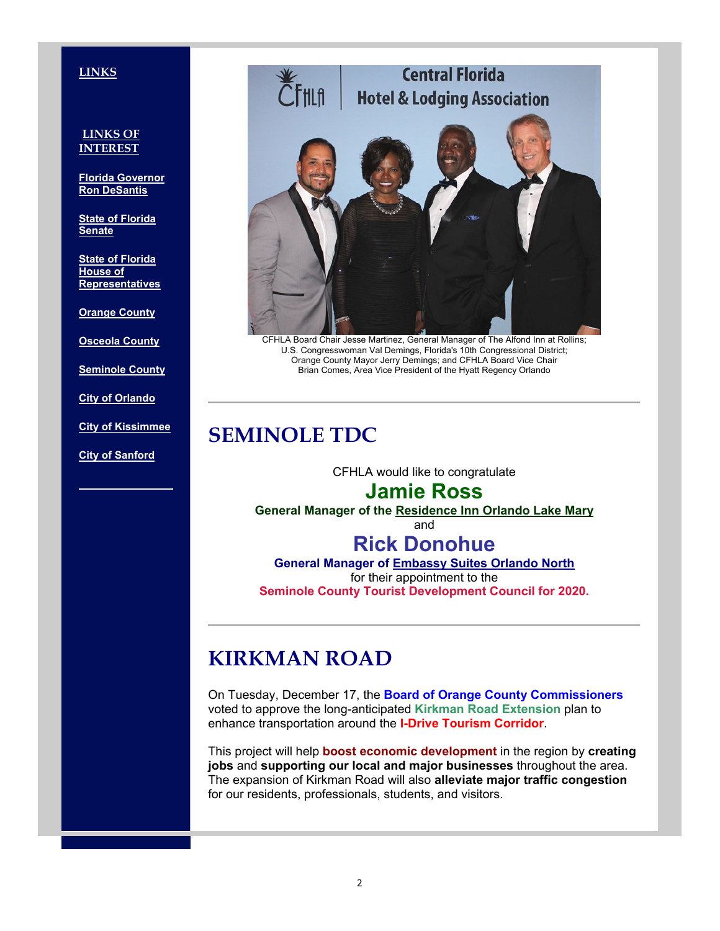### **LINKS**

### **LINKS OF INTEREST**

**Florida Governor Ron DeSantis**

**State of Florida Senate**

**State of Florida House of Representatives**

**Orange County**

**Osceola County**

**Seminole County**

**City of Orlando**

**City of Kissimmee**

**City of Sanford**



CFHLA Board Chair Jesse Martinez, General Manager of The Alfond Inn at Rollins; U.S. Congresswoman Val Demings, Florida's 10th Congressional District; Orange County Mayor Jerry Demings; and CFHLA Board Vice Chair Brian Comes, Area Vice President of the Hyatt Regency Orlando

## **SEMINOLE TDC**

CFHLA would like to congratulate

## **Jamie Ross**

**General Manager of the Residence Inn Orlando Lake Mary**

and

## **Rick Donohue**

**General Manager of Embassy Suites Orlando North** for their appointment to the **Seminole County Tourist Development Council for 2020.**

# **KIRKMAN ROAD**

On Tuesday, December 17, the **Board of Orange County Commissioners** voted to approve the long-anticipated **Kirkman Road Extension** plan to enhance transportation around the **I-Drive Tourism Corridor**.

This project will help **boost economic development** in the region by **creating jobs** and **supporting our local and major businesses** throughout the area. The expansion of Kirkman Road will also **alleviate major traffic congestion** for our residents, professionals, students, and visitors.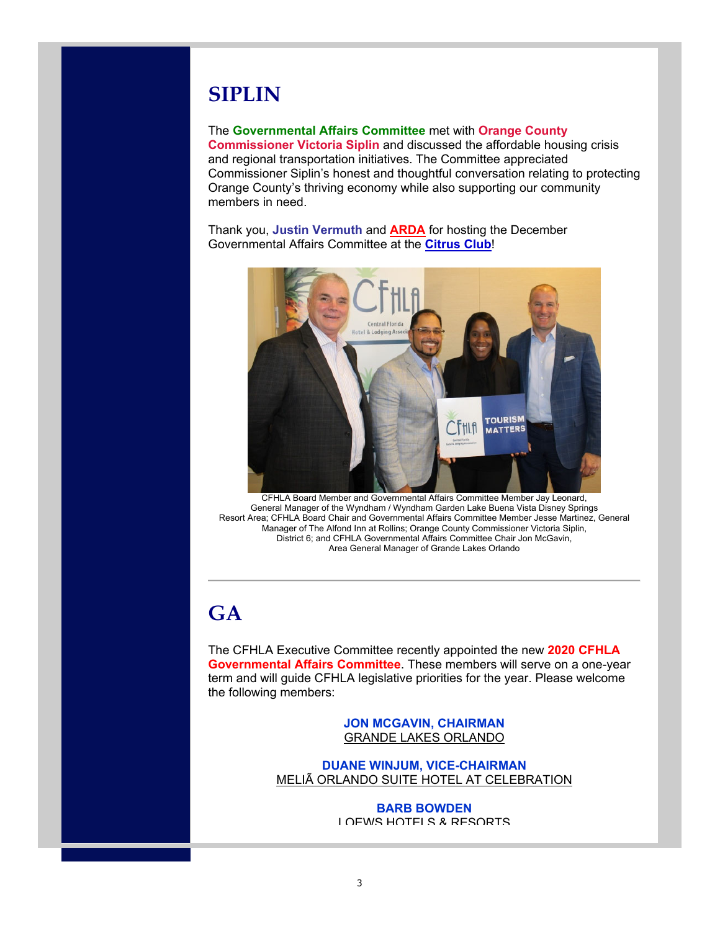# **SIPLIN**

### The **Governmental Affairs Committee** met with **Orange County**

**Commissioner Victoria Siplin** and discussed the affordable housing crisis and regional transportation initiatives. The Committee appreciated Commissioner Siplin's honest and thoughtful conversation relating to protecting Orange County's thriving economy while also supporting our community members in need.

Thank you, **Justin Vermuth** and **ARDA** for hosting the December Governmental Affairs Committee at the **Citrus Club**!



CFHLA Board Member and Governmental Affairs Committee Member Jay Leonard, General Manager of the Wyndham / Wyndham Garden Lake Buena Vista Disney Springs Resort Area; CFHLA Board Chair and Governmental Affairs Committee Member Jesse Martinez, General Manager of The Alfond Inn at Rollins; Orange County Commissioner Victoria Siplin, District 6; and CFHLA Governmental Affairs Committee Chair Jon McGavin, Area General Manager of Grande Lakes Orlando

# **GA**

The CFHLA Executive Committee recently appointed the new **2020 CFHLA Governmental Affairs Committee**. These members will serve on a one-year term and will guide CFHLA legislative priorities for the year. Please welcome the following members:

> **JON MCGAVIN, CHAIRMAN** GRANDE LAKES ORLANDO

**DUANE WINJUM, VICE-CHAIRMAN** MELIÃ ORLANDO SUITE HOTEL AT CELEBRATION

> **BARB BOWDEN** LOEWS HOTELS & RESORTS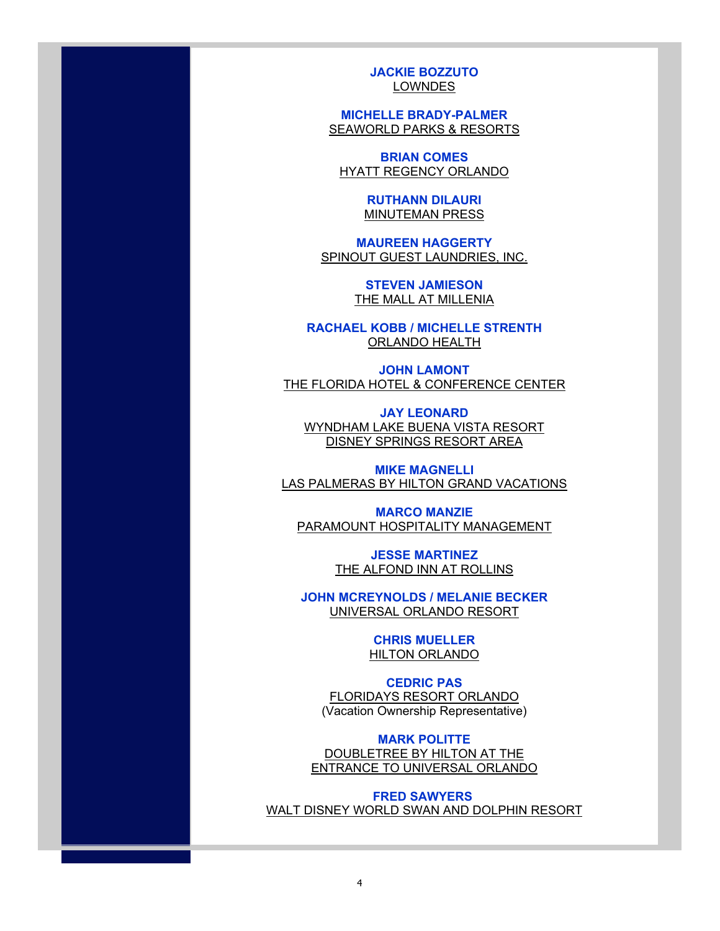**JACKIE BOZZUTO** LOWNDES

**MICHELLE BRADY-PALMER** SEAWORLD PARKS & RESORTS

**BRIAN COMES** HYATT REGENCY ORLANDO

> **RUTHANN DILAURI** MINUTEMAN PRESS

**MAUREEN HAGGERTY** SPINOUT GUEST LAUNDRIES, INC.

> **STEVEN JAMIESON** THE MALL AT MILLENIA

**RACHAEL KOBB / MICHELLE STRENTH** ORLANDO HEALTH

**JOHN LAMONT** THE FLORIDA HOTEL & CONFERENCE CENTER

**JAY LEONARD** WYNDHAM LAKE BUENA VISTA RESORT DISNEY SPRINGS RESORT AREA

**MIKE MAGNELLI** LAS PALMERAS BY HILTON GRAND VACATIONS

**MARCO MANZIE** PARAMOUNT HOSPITALITY MANAGEMENT

> **JESSE MARTINEZ** THE ALFOND INN AT ROLLINS

**JOHN MCREYNOLDS / MELANIE BECKER** UNIVERSAL ORLANDO RESORT

> **CHRIS MUELLER** HILTON ORLANDO

**CEDRIC PAS** FLORIDAYS RESORT ORLANDO (Vacation Ownership Representative)

**MARK POLITTE** DOUBLETREE BY HILTON AT THE ENTRANCE TO UNIVERSAL ORLANDO

**FRED SAWYERS**  WALT DISNEY WORLD SWAN AND DOLPHIN RESORT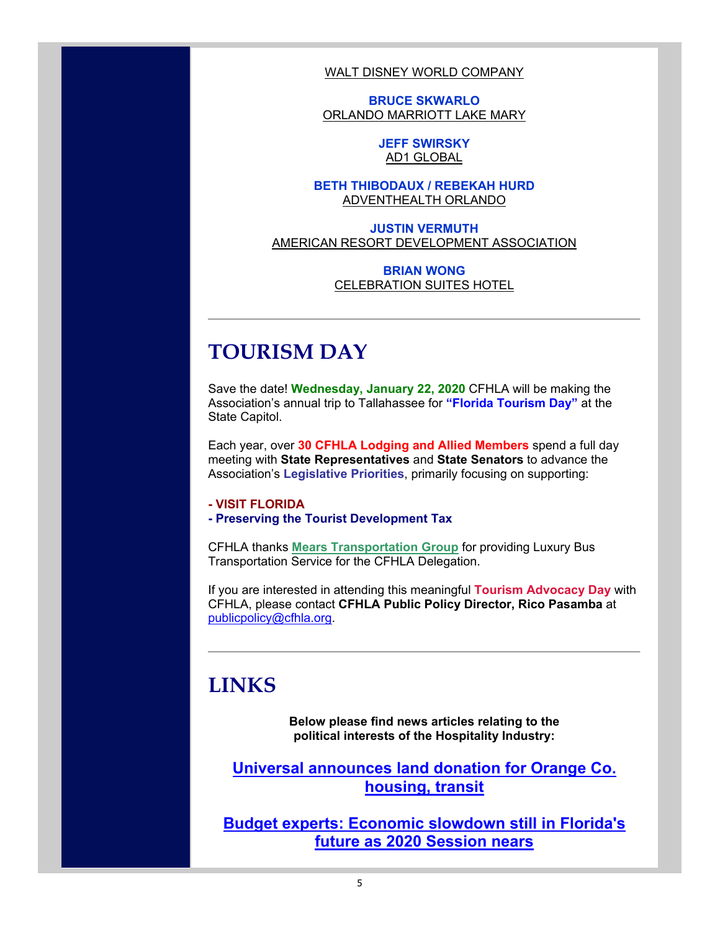WALT DISNEY WORLD COMPANY

**BRUCE SKWARLO** ORLANDO MARRIOTT LAKE MARY

> **JEFF SWIRSKY** AD1 GLOBAL

### **BETH THIBODAUX / REBEKAH HURD** ADVENTHEALTH ORLANDO

**JUSTIN VERMUTH** AMERICAN RESORT DEVELOPMENT ASSOCIATION

### **BRIAN WONG CELEBRATION SUITES HOTEL**

# **TOURISM DAY**

Save the date! **Wednesday, January 22, 2020** CFHLA will be making the Association's annual trip to Tallahassee for **"Florida Tourism Day"** at the State Capitol.

Each year, over **30 CFHLA Lodging and Allied Members** spend a full day meeting with **State Representatives** and **State Senators** to advance the Association's **Legislative Priorities**, primarily focusing on supporting:

### **- VISIT FLORIDA**

### **- Preserving the Tourist Development Tax**

CFHLA thanks **Mears Transportation Group** for providing Luxury Bus Transportation Service for the CFHLA Delegation.

If you are interested in attending this meaningful **Tourism Advocacy Day** with CFHLA, please contact **CFHLA Public Policy Director, Rico Pasamba** at publicpolicy@cfhla.org.

## **LINKS**

**Below please find news articles relating to the political interests of the Hospitality Industry:**

**Universal announces land donation for Orange Co. housing, transit** 

**Budget experts: Economic slowdown still in Florida's future as 2020 Session nears**